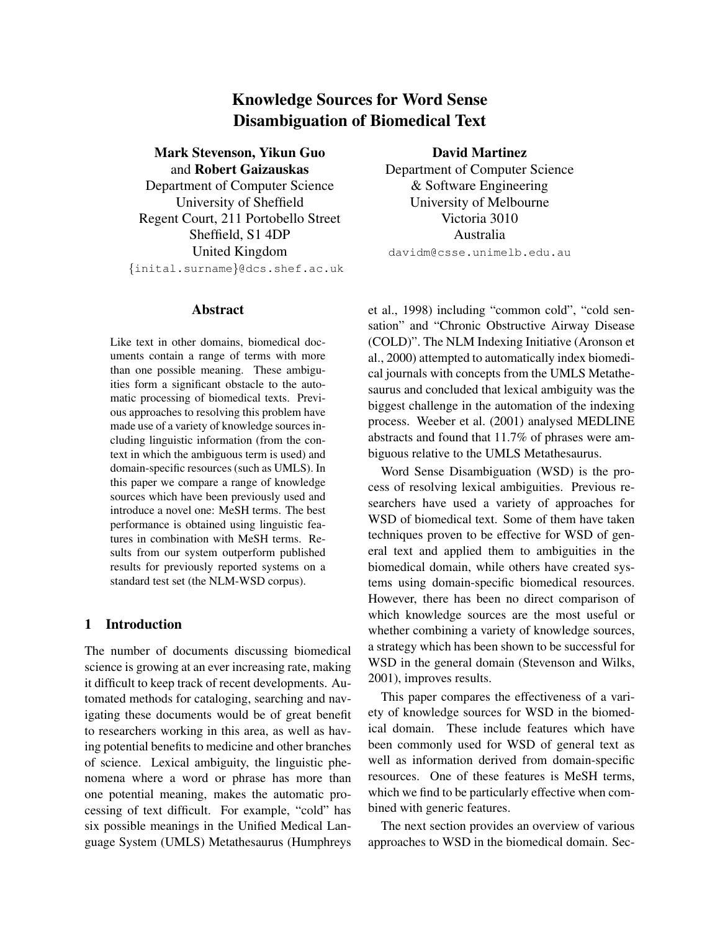# Knowledge Sources for Word Sense Disambiguation of Biomedical Text

Mark Stevenson, Yikun Guo and Robert Gaizauskas Department of Computer Science University of Sheffield Regent Court, 211 Portobello Street Sheffield, S1 4DP United Kingdom {inital.surname}@dcs.shef.ac.uk

#### Abstract

Like text in other domains, biomedical documents contain a range of terms with more than one possible meaning. These ambiguities form a significant obstacle to the automatic processing of biomedical texts. Previous approaches to resolving this problem have made use of a variety of knowledge sources including linguistic information (from the context in which the ambiguous term is used) and domain-specific resources (such as UMLS). In this paper we compare a range of knowledge sources which have been previously used and introduce a novel one: MeSH terms. The best performance is obtained using linguistic features in combination with MeSH terms. Results from our system outperform published results for previously reported systems on a standard test set (the NLM-WSD corpus).

## 1 Introduction

The number of documents discussing biomedical science is growing at an ever increasing rate, making it difficult to keep track of recent developments. Automated methods for cataloging, searching and navigating these documents would be of great benefit to researchers working in this area, as well as having potential benefits to medicine and other branches of science. Lexical ambiguity, the linguistic phenomena where a word or phrase has more than one potential meaning, makes the automatic processing of text difficult. For example, "cold" has six possible meanings in the Unified Medical Language System (UMLS) Metathesaurus (Humphreys

David Martinez Department of Computer Science & Software Engineering University of Melbourne Victoria 3010 Australia davidm@csse.unimelb.edu.au

et al., 1998) including "common cold", "cold sensation" and "Chronic Obstructive Airway Disease (COLD)". The NLM Indexing Initiative (Aronson et al., 2000) attempted to automatically index biomedical journals with concepts from the UMLS Metathesaurus and concluded that lexical ambiguity was the biggest challenge in the automation of the indexing process. Weeber et al. (2001) analysed MEDLINE abstracts and found that 11.7% of phrases were ambiguous relative to the UMLS Metathesaurus.

Word Sense Disambiguation (WSD) is the process of resolving lexical ambiguities. Previous researchers have used a variety of approaches for WSD of biomedical text. Some of them have taken techniques proven to be effective for WSD of general text and applied them to ambiguities in the biomedical domain, while others have created systems using domain-specific biomedical resources. However, there has been no direct comparison of which knowledge sources are the most useful or whether combining a variety of knowledge sources, a strategy which has been shown to be successful for WSD in the general domain (Stevenson and Wilks, 2001), improves results.

This paper compares the effectiveness of a variety of knowledge sources for WSD in the biomedical domain. These include features which have been commonly used for WSD of general text as well as information derived from domain-specific resources. One of these features is MeSH terms, which we find to be particularly effective when combined with generic features.

The next section provides an overview of various approaches to WSD in the biomedical domain. Sec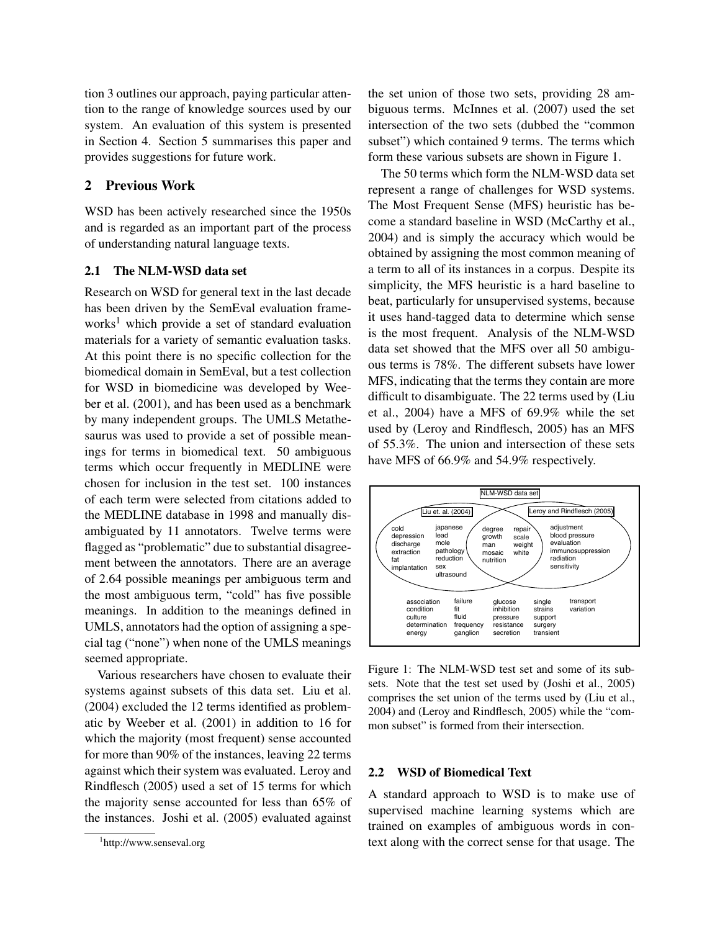tion 3 outlines our approach, paying particular attention to the range of knowledge sources used by our system. An evaluation of this system is presented in Section 4. Section 5 summarises this paper and provides suggestions for future work.

## 2 Previous Work

WSD has been actively researched since the 1950s and is regarded as an important part of the process of understanding natural language texts.

## 2.1 The NLM-WSD data set

Research on WSD for general text in the last decade has been driven by the SemEval evaluation frameworks<sup>1</sup> which provide a set of standard evaluation materials for a variety of semantic evaluation tasks. At this point there is no specific collection for the biomedical domain in SemEval, but a test collection for WSD in biomedicine was developed by Weeber et al. (2001), and has been used as a benchmark by many independent groups. The UMLS Metathesaurus was used to provide a set of possible meanings for terms in biomedical text. 50 ambiguous terms which occur frequently in MEDLINE were chosen for inclusion in the test set. 100 instances of each term were selected from citations added to the MEDLINE database in 1998 and manually disambiguated by 11 annotators. Twelve terms were flagged as "problematic" due to substantial disagreement between the annotators. There are an average of 2.64 possible meanings per ambiguous term and the most ambiguous term, "cold" has five possible meanings. In addition to the meanings defined in UMLS, annotators had the option of assigning a special tag ("none") when none of the UMLS meanings seemed appropriate.

Various researchers have chosen to evaluate their systems against subsets of this data set. Liu et al. (2004) excluded the 12 terms identified as problematic by Weeber et al. (2001) in addition to 16 for which the majority (most frequent) sense accounted for more than 90% of the instances, leaving 22 terms against which their system was evaluated. Leroy and Rindflesch (2005) used a set of 15 terms for which the majority sense accounted for less than 65% of the instances. Joshi et al. (2005) evaluated against the set union of those two sets, providing 28 ambiguous terms. McInnes et al. (2007) used the set intersection of the two sets (dubbed the "common subset") which contained 9 terms. The terms which form these various subsets are shown in Figure 1.

The 50 terms which form the NLM-WSD data set represent a range of challenges for WSD systems. The Most Frequent Sense (MFS) heuristic has become a standard baseline in WSD (McCarthy et al., 2004) and is simply the accuracy which would be obtained by assigning the most common meaning of a term to all of its instances in a corpus. Despite its simplicity, the MFS heuristic is a hard baseline to beat, particularly for unsupervised systems, because it uses hand-tagged data to determine which sense is the most frequent. Analysis of the NLM-WSD data set showed that the MFS over all 50 ambiguous terms is 78%. The different subsets have lower MFS, indicating that the terms they contain are more difficult to disambiguate. The 22 terms used by (Liu et al., 2004) have a MFS of 69.9% while the set used by (Leroy and Rindflesch, 2005) has an MFS of 55.3%. The union and intersection of these sets have MFS of 66.9% and 54.9% respectively.



Figure 1: The NLM-WSD test set and some of its subsets. Note that the test set used by (Joshi et al., 2005) comprises the set union of the terms used by (Liu et al., 2004) and (Leroy and Rindflesch, 2005) while the "common subset" is formed from their intersection.

#### 2.2 WSD of Biomedical Text

A standard approach to WSD is to make use of supervised machine learning systems which are trained on examples of ambiguous words in context along with the correct sense for that usage. The

<sup>1</sup> http://www.senseval.org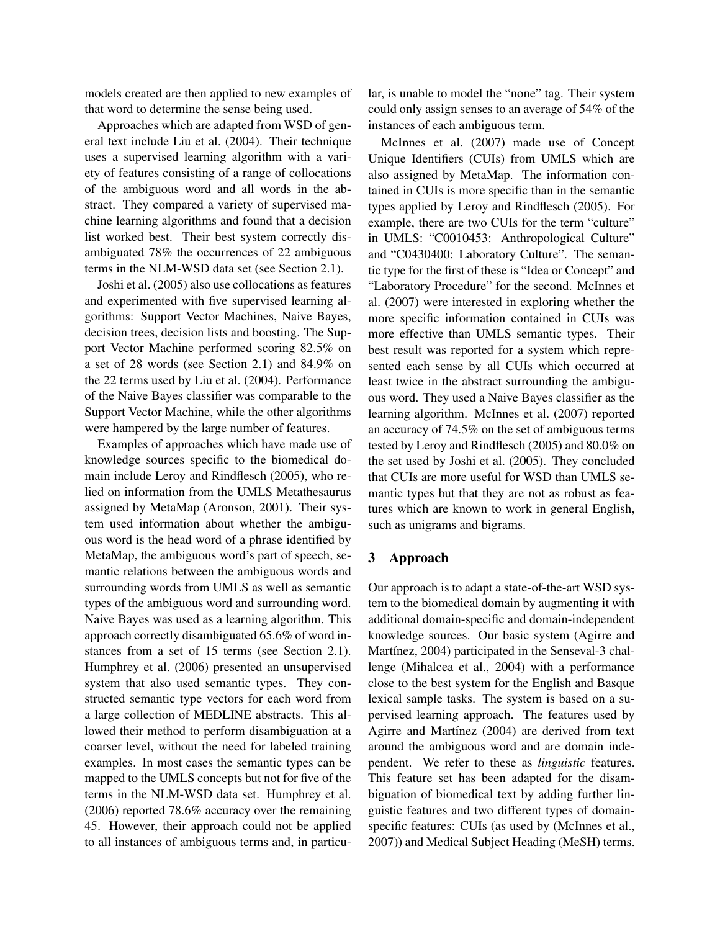models created are then applied to new examples of that word to determine the sense being used.

Approaches which are adapted from WSD of general text include Liu et al. (2004). Their technique uses a supervised learning algorithm with a variety of features consisting of a range of collocations of the ambiguous word and all words in the abstract. They compared a variety of supervised machine learning algorithms and found that a decision list worked best. Their best system correctly disambiguated 78% the occurrences of 22 ambiguous terms in the NLM-WSD data set (see Section 2.1).

Joshi et al. (2005) also use collocations as features and experimented with five supervised learning algorithms: Support Vector Machines, Naive Bayes, decision trees, decision lists and boosting. The Support Vector Machine performed scoring 82.5% on a set of 28 words (see Section 2.1) and 84.9% on the 22 terms used by Liu et al. (2004). Performance of the Naive Bayes classifier was comparable to the Support Vector Machine, while the other algorithms were hampered by the large number of features.

Examples of approaches which have made use of knowledge sources specific to the biomedical domain include Leroy and Rindflesch (2005), who relied on information from the UMLS Metathesaurus assigned by MetaMap (Aronson, 2001). Their system used information about whether the ambiguous word is the head word of a phrase identified by MetaMap, the ambiguous word's part of speech, semantic relations between the ambiguous words and surrounding words from UMLS as well as semantic types of the ambiguous word and surrounding word. Naive Bayes was used as a learning algorithm. This approach correctly disambiguated 65.6% of word instances from a set of 15 terms (see Section 2.1). Humphrey et al. (2006) presented an unsupervised system that also used semantic types. They constructed semantic type vectors for each word from a large collection of MEDLINE abstracts. This allowed their method to perform disambiguation at a coarser level, without the need for labeled training examples. In most cases the semantic types can be mapped to the UMLS concepts but not for five of the terms in the NLM-WSD data set. Humphrey et al. (2006) reported 78.6% accuracy over the remaining 45. However, their approach could not be applied to all instances of ambiguous terms and, in particular, is unable to model the "none" tag. Their system could only assign senses to an average of 54% of the instances of each ambiguous term.

McInnes et al. (2007) made use of Concept Unique Identifiers (CUIs) from UMLS which are also assigned by MetaMap. The information contained in CUIs is more specific than in the semantic types applied by Leroy and Rindflesch (2005). For example, there are two CUIs for the term "culture" in UMLS: "C0010453: Anthropological Culture" and "C0430400: Laboratory Culture". The semantic type for the first of these is "Idea or Concept" and "Laboratory Procedure" for the second. McInnes et al. (2007) were interested in exploring whether the more specific information contained in CUIs was more effective than UMLS semantic types. Their best result was reported for a system which represented each sense by all CUIs which occurred at least twice in the abstract surrounding the ambiguous word. They used a Naive Bayes classifier as the learning algorithm. McInnes et al. (2007) reported an accuracy of 74.5% on the set of ambiguous terms tested by Leroy and Rindflesch (2005) and 80.0% on the set used by Joshi et al. (2005). They concluded that CUIs are more useful for WSD than UMLS semantic types but that they are not as robust as features which are known to work in general English, such as unigrams and bigrams.

#### 3 Approach

Our approach is to adapt a state-of-the-art WSD system to the biomedical domain by augmenting it with additional domain-specific and domain-independent knowledge sources. Our basic system (Agirre and Martínez, 2004) participated in the Senseval-3 challenge (Mihalcea et al., 2004) with a performance close to the best system for the English and Basque lexical sample tasks. The system is based on a supervised learning approach. The features used by Agirre and Martínez (2004) are derived from text around the ambiguous word and are domain independent. We refer to these as *linguistic* features. This feature set has been adapted for the disambiguation of biomedical text by adding further linguistic features and two different types of domainspecific features: CUIs (as used by (McInnes et al., 2007)) and Medical Subject Heading (MeSH) terms.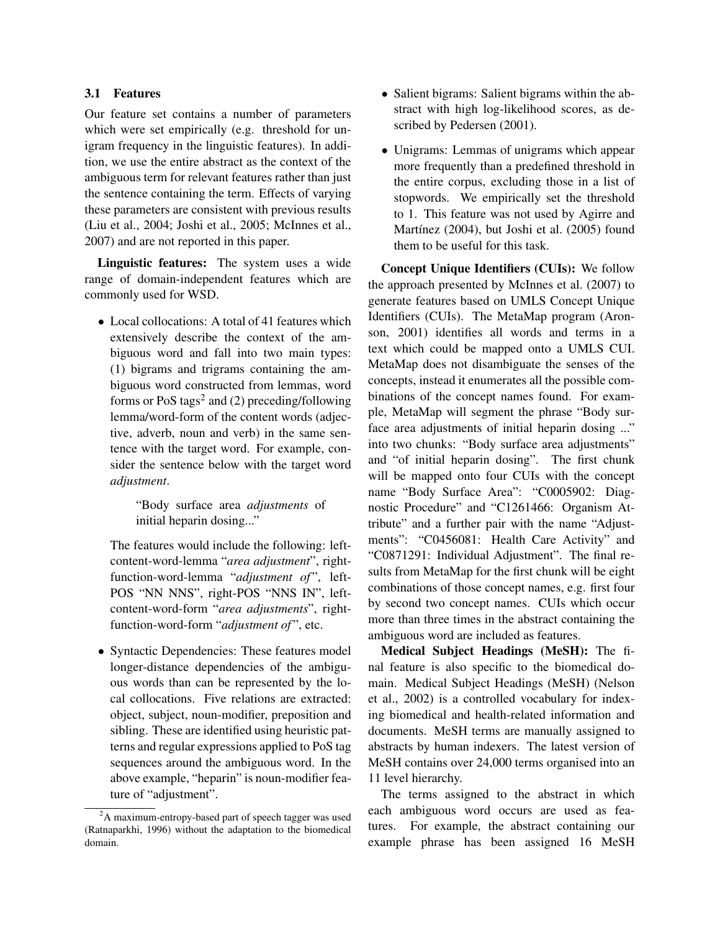#### 3.1 Features

Our feature set contains a number of parameters which were set empirically (e.g. threshold for unigram frequency in the linguistic features). In addition, we use the entire abstract as the context of the ambiguous term for relevant features rather than just the sentence containing the term. Effects of varying these parameters are consistent with previous results (Liu et al., 2004; Joshi et al., 2005; McInnes et al., 2007) and are not reported in this paper.

Linguistic features: The system uses a wide range of domain-independent features which are commonly used for WSD.

• Local collocations: A total of 41 features which extensively describe the context of the ambiguous word and fall into two main types: (1) bigrams and trigrams containing the ambiguous word constructed from lemmas, word forms or  $PoS$  tags<sup>2</sup> and (2) preceding/following lemma/word-form of the content words (adjective, adverb, noun and verb) in the same sentence with the target word. For example, consider the sentence below with the target word *adjustment*.

> "Body surface area *adjustments* of initial heparin dosing..."

The features would include the following: leftcontent-word-lemma "*area adjustment*", rightfunction-word-lemma "*adjustment of* ", left-POS "NN NNS", right-POS "NNS IN", leftcontent-word-form "*area adjustments*", rightfunction-word-form "*adjustment of* ", etc.

• Syntactic Dependencies: These features model longer-distance dependencies of the ambiguous words than can be represented by the local collocations. Five relations are extracted: object, subject, noun-modifier, preposition and sibling. These are identified using heuristic patterns and regular expressions applied to PoS tag sequences around the ambiguous word. In the above example, "heparin" is noun-modifier feature of "adjustment".

- Salient bigrams: Salient bigrams within the abstract with high log-likelihood scores, as described by Pedersen (2001).
- Unigrams: Lemmas of unigrams which appear more frequently than a predefined threshold in the entire corpus, excluding those in a list of stopwords. We empirically set the threshold to 1. This feature was not used by Agirre and Martínez (2004), but Joshi et al. (2005) found them to be useful for this task.

Concept Unique Identifiers (CUIs): We follow the approach presented by McInnes et al. (2007) to generate features based on UMLS Concept Unique Identifiers (CUIs). The MetaMap program (Aronson, 2001) identifies all words and terms in a text which could be mapped onto a UMLS CUI. MetaMap does not disambiguate the senses of the concepts, instead it enumerates all the possible combinations of the concept names found. For example, MetaMap will segment the phrase "Body surface area adjustments of initial heparin dosing ..." into two chunks: "Body surface area adjustments" and "of initial heparin dosing". The first chunk will be mapped onto four CUIs with the concept name "Body Surface Area": "C0005902: Diagnostic Procedure" and "C1261466: Organism Attribute" and a further pair with the name "Adjustments": "C0456081: Health Care Activity" and "C0871291: Individual Adjustment". The final results from MetaMap for the first chunk will be eight combinations of those concept names, e.g. first four by second two concept names. CUIs which occur more than three times in the abstract containing the ambiguous word are included as features.

Medical Subject Headings (MeSH): The final feature is also specific to the biomedical domain. Medical Subject Headings (MeSH) (Nelson et al., 2002) is a controlled vocabulary for indexing biomedical and health-related information and documents. MeSH terms are manually assigned to abstracts by human indexers. The latest version of MeSH contains over 24,000 terms organised into an 11 level hierarchy.

The terms assigned to the abstract in which each ambiguous word occurs are used as features. For example, the abstract containing our example phrase has been assigned 16 MeSH

<sup>&</sup>lt;sup>2</sup>A maximum-entropy-based part of speech tagger was used (Ratnaparkhi, 1996) without the adaptation to the biomedical domain.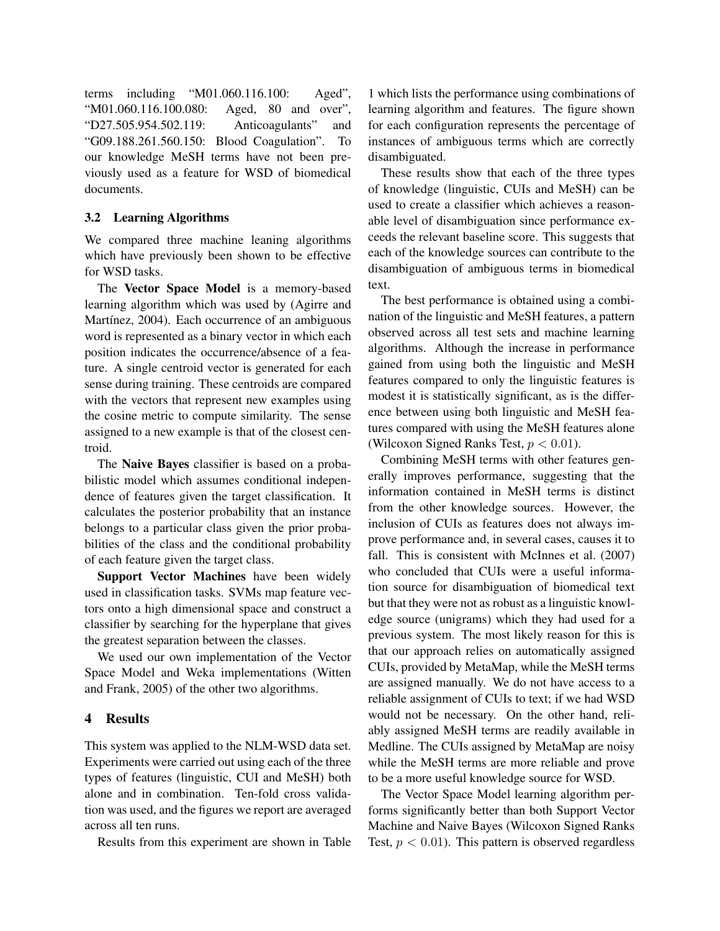terms including "M01.060.116.100: Aged", "M01.060.116.100.080: Aged, 80 and over", "D27.505.954.502.119: Anticoagulants" and "G09.188.261.560.150: Blood Coagulation". To our knowledge MeSH terms have not been previously used as a feature for WSD of biomedical documents.

#### 3.2 Learning Algorithms

We compared three machine leaning algorithms which have previously been shown to be effective for WSD tasks.

The Vector Space Model is a memory-based learning algorithm which was used by (Agirre and Martínez, 2004). Each occurrence of an ambiguous word is represented as a binary vector in which each position indicates the occurrence/absence of a feature. A single centroid vector is generated for each sense during training. These centroids are compared with the vectors that represent new examples using the cosine metric to compute similarity. The sense assigned to a new example is that of the closest centroid.

The Naive Bayes classifier is based on a probabilistic model which assumes conditional independence of features given the target classification. It calculates the posterior probability that an instance belongs to a particular class given the prior probabilities of the class and the conditional probability of each feature given the target class.

Support Vector Machines have been widely used in classification tasks. SVMs map feature vectors onto a high dimensional space and construct a classifier by searching for the hyperplane that gives the greatest separation between the classes.

We used our own implementation of the Vector Space Model and Weka implementations (Witten and Frank, 2005) of the other two algorithms.

#### 4 Results

This system was applied to the NLM-WSD data set. Experiments were carried out using each of the three types of features (linguistic, CUI and MeSH) both alone and in combination. Ten-fold cross validation was used, and the figures we report are averaged across all ten runs.

Results from this experiment are shown in Table

1 which lists the performance using combinations of learning algorithm and features. The figure shown for each configuration represents the percentage of instances of ambiguous terms which are correctly disambiguated.

These results show that each of the three types of knowledge (linguistic, CUIs and MeSH) can be used to create a classifier which achieves a reasonable level of disambiguation since performance exceeds the relevant baseline score. This suggests that each of the knowledge sources can contribute to the disambiguation of ambiguous terms in biomedical text.

The best performance is obtained using a combination of the linguistic and MeSH features, a pattern observed across all test sets and machine learning algorithms. Although the increase in performance gained from using both the linguistic and MeSH features compared to only the linguistic features is modest it is statistically significant, as is the difference between using both linguistic and MeSH features compared with using the MeSH features alone (Wilcoxon Signed Ranks Test,  $p < 0.01$ ).

Combining MeSH terms with other features generally improves performance, suggesting that the information contained in MeSH terms is distinct from the other knowledge sources. However, the inclusion of CUIs as features does not always improve performance and, in several cases, causes it to fall. This is consistent with McInnes et al. (2007) who concluded that CUIs were a useful information source for disambiguation of biomedical text but that they were not as robust as a linguistic knowledge source (unigrams) which they had used for a previous system. The most likely reason for this is that our approach relies on automatically assigned CUIs, provided by MetaMap, while the MeSH terms are assigned manually. We do not have access to a reliable assignment of CUIs to text; if we had WSD would not be necessary. On the other hand, reliably assigned MeSH terms are readily available in Medline. The CUIs assigned by MetaMap are noisy while the MeSH terms are more reliable and prove to be a more useful knowledge source for WSD.

The Vector Space Model learning algorithm performs significantly better than both Support Vector Machine and Naive Bayes (Wilcoxon Signed Ranks Test,  $p < 0.01$ ). This pattern is observed regardless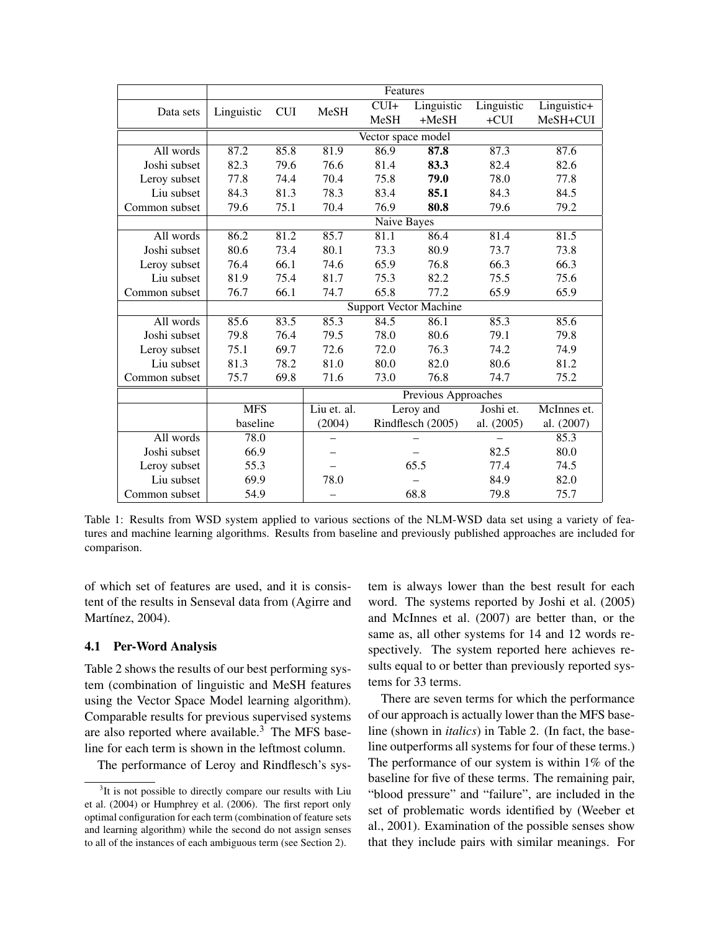|               | Features                      |            |                     |           |                   |            |             |  |  |
|---------------|-------------------------------|------------|---------------------|-----------|-------------------|------------|-------------|--|--|
| Data sets     | Linguistic                    | <b>CUI</b> | MeSH                | $CUI+$    | Linguistic        | Linguistic | Linguistic+ |  |  |
|               |                               |            |                     | MeSH      | $+MeSH$           | $+CUI$     | MeSH+CUI    |  |  |
|               | Vector space model            |            |                     |           |                   |            |             |  |  |
| All words     | 87.2                          | 85.8       | 81.9                | 86.9      | 87.8              | 87.3       | 87.6        |  |  |
| Joshi subset  | 82.3                          | 79.6       | 76.6                | 81.4      | 83.3              | 82.4       | 82.6        |  |  |
| Leroy subset  | 77.8                          | 74.4       | 70.4                | 75.8      | 79.0              | 78.0       | 77.8        |  |  |
| Liu subset    | 84.3                          | 81.3       | 78.3                | 83.4      | 85.1              | 84.3       | 84.5        |  |  |
| Common subset | 79.6                          | 75.1       | 70.4                | 76.9      | 80.8              | 79.6       | 79.2        |  |  |
|               | Naive Bayes                   |            |                     |           |                   |            |             |  |  |
| All words     | 86.2                          | 81.2       | 85.7                | 81.1      | 86.4              | 81.4       | 81.5        |  |  |
| Joshi subset  | 80.6                          | 73.4       | 80.1                | 73.3      | 80.9              | 73.7       | 73.8        |  |  |
| Leroy subset  | 76.4                          | 66.1       | 74.6                | 65.9      | 76.8              | 66.3       | 66.3        |  |  |
| Liu subset    | 81.9                          | 75.4       | 81.7                | 75.3      | 82.2              | 75.5       | 75.6        |  |  |
| Common subset | 76.7                          | 66.1       | 74.7                | 65.8      | 77.2              | 65.9       | 65.9        |  |  |
|               | <b>Support Vector Machine</b> |            |                     |           |                   |            |             |  |  |
| All words     | 85.6                          | 83.5       | 85.3                | 84.5      | 86.1              | 85.3       | 85.6        |  |  |
| Joshi subset  | 79.8                          | 76.4       | 79.5                | 78.0      | 80.6              | 79.1       | 79.8        |  |  |
| Leroy subset  | 75.1                          | 69.7       | 72.6                | 72.0      | 76.3              | 74.2       | 74.9        |  |  |
| Liu subset    | 81.3                          | 78.2       | 81.0                | 80.0      | 82.0              | 80.6       | 81.2        |  |  |
| Common subset | 75.7                          | 69.8       | 71.6                | 73.0      | 76.8              | 74.7       | 75.2        |  |  |
|               |                               |            | Previous Approaches |           |                   |            |             |  |  |
|               | <b>MFS</b>                    |            | Liu et. al.         | Leroy and |                   | Joshi et.  | McInnes et. |  |  |
|               | baseline                      |            | (2004)              |           | Rindflesch (2005) | al. (2005) | al. (2007)  |  |  |
| All words     | 78.0                          |            |                     |           |                   |            | 85.3        |  |  |
| Joshi subset  | 66.9                          |            |                     |           |                   | 82.5       | 80.0        |  |  |
| Leroy subset  | 55.3                          |            |                     | 65.5      |                   | 77.4       | 74.5        |  |  |
| Liu subset    | 69.9                          |            | 78.0                |           |                   | 84.9       | 82.0        |  |  |
| Common subset | 54.9                          |            |                     | 68.8      |                   | 79.8       | 75.7        |  |  |

Table 1: Results from WSD system applied to various sections of the NLM-WSD data set using a variety of features and machine learning algorithms. Results from baseline and previously published approaches are included for comparison.

of which set of features are used, and it is consistent of the results in Senseval data from (Agirre and Martínez, 2004).

#### 4.1 Per-Word Analysis

Table 2 shows the results of our best performing system (combination of linguistic and MeSH features using the Vector Space Model learning algorithm). Comparable results for previous supervised systems are also reported where available. $3\overline{}$  The MFS baseline for each term is shown in the leftmost column.

The performance of Leroy and Rindflesch's sys-

tem is always lower than the best result for each word. The systems reported by Joshi et al. (2005) and McInnes et al. (2007) are better than, or the same as, all other systems for 14 and 12 words respectively. The system reported here achieves results equal to or better than previously reported systems for 33 terms.

There are seven terms for which the performance of our approach is actually lower than the MFS baseline (shown in *italics*) in Table 2. (In fact, the baseline outperforms all systems for four of these terms.) The performance of our system is within 1% of the baseline for five of these terms. The remaining pair, "blood pressure" and "failure", are included in the set of problematic words identified by (Weeber et al., 2001). Examination of the possible senses show that they include pairs with similar meanings. For

<sup>&</sup>lt;sup>3</sup>It is not possible to directly compare our results with Liu et al. (2004) or Humphrey et al. (2006). The first report only optimal configuration for each term (combination of feature sets and learning algorithm) while the second do not assign senses to all of the instances of each ambiguous term (see Section 2).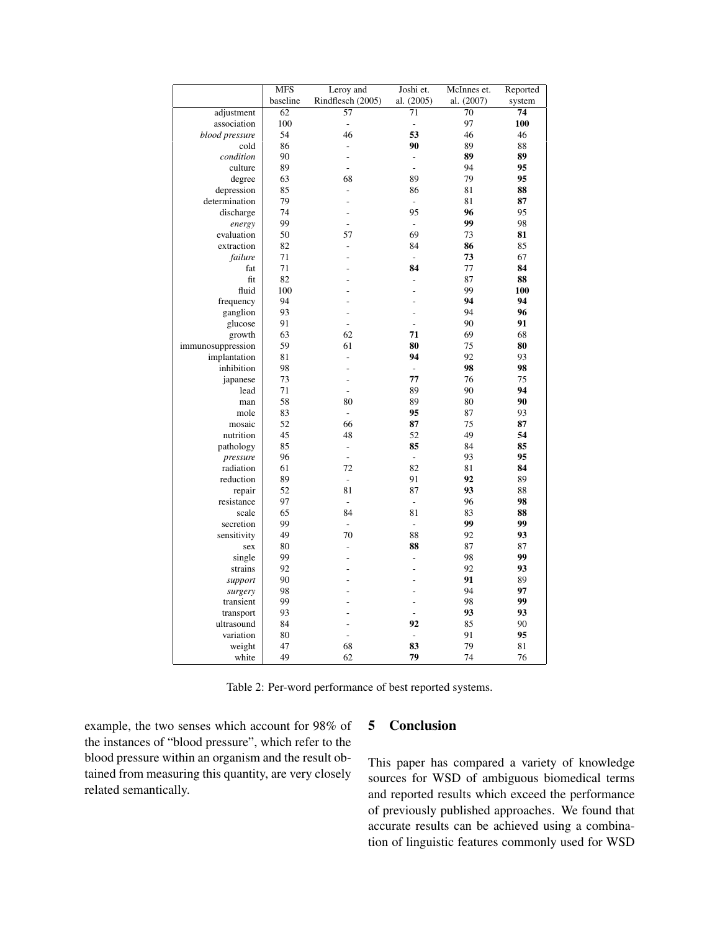|                   | <b>MFS</b> | Leroy and                | Joshi et.                | McInnes et.     | Reported |
|-------------------|------------|--------------------------|--------------------------|-----------------|----------|
|                   | baseline   | Rindflesch (2005)        | al. (2005)               | al. (2007)      | system   |
| adjustment        | 62         | $\overline{57}$          | 71                       | $\overline{70}$ | 74       |
| association       | 100        | $\overline{a}$           | $\qquad \qquad -$        | 97              | 100      |
| blood pressure    | 54         | 46                       | 53                       | 46              | 46       |
| cold              | 86         | $\frac{1}{2}$            | 90                       | 89              | 88       |
| condition         | 90         | $\overline{a}$           | $\overline{\phantom{a}}$ | 89              | 89       |
| culture           | 89         | L.                       | $\overline{a}$           | 94              | 95       |
| degree            | 63         | 68                       | 89                       | 79              | 95       |
| depression        | 85         | $\overline{a}$           | 86                       | 81              | 88       |
| determination     | 79         | ÷,                       |                          | 81              | 87       |
| discharge         | 74         | L,                       | 95                       | 96              | 95       |
| energy            | 99         | L,                       | $\overline{\phantom{a}}$ | 99              | 98       |
| evaluation        | 50         | 57                       | 69                       | 73              | 81       |
| extraction        | 82         | $\overline{a}$           | 84                       | 86              | 85       |
| failure           | 71         | L,                       | $\blacksquare$           | 73              | 67       |
| fat               | 71         | L,                       | 84                       | 77              | 84       |
| fit               | 82         | $\overline{a}$           |                          | 87              | 88       |
| fluid             | 100        | L,                       | $\overline{a}$           | 99              | 100      |
| frequency         | 94         | L,                       | L                        | 94              | 94       |
| ganglion          | 93         | L,                       | $\overline{a}$           | 94              | 96       |
| glucose           | 91         | L.                       | $\overline{a}$           | 90              | 91       |
|                   | 63         | 62                       | 71                       | 69              | 68       |
| growth            | 59         | 61                       | 80                       | 75              | 80       |
| immunosuppression |            |                          | 94                       |                 |          |
| implantation      | 81         | $\overline{a}$           |                          | 92              | 93       |
| inhibition        | 98         | L,                       | $\overline{a}$<br>77     | 98              | 98       |
| japanese          | 73         | $\frac{1}{2}$            |                          | 76              | 75       |
| lead              | 71         | $\frac{1}{2}$            | 89                       | 90              | 94       |
| man               | 58         | 80                       | 89                       | 80              | 90       |
| mole              | 83         | $\frac{1}{2}$            | 95                       | 87              | 93       |
| mosaic            | 52         | 66                       | 87                       | 75              | 87       |
| nutrition         | 45         | 48                       | 52                       | 49              | 54       |
| pathology         | 85         | $\overline{\phantom{a}}$ | 85                       | 84              | 85       |
| pressure          | 96         | $\overline{a}$           | $\overline{\phantom{a}}$ | 93              | 95       |
| radiation         | 61         | 72                       | 82                       | 81              | 84       |
| reduction         | 89         | $\overline{a}$           | 91                       | 92              | 89       |
| repair            | 52         | 81                       | 87                       | 93              | 88       |
| resistance        | 97         | $\frac{1}{2}$            | $\frac{1}{2}$            | 96              | 98       |
| scale             | 65         | 84                       | 81                       | 83              | 88       |
| secretion         | 99         | $\overline{a}$           | $\overline{\phantom{a}}$ | 99              | 99       |
| sensitivity       | 49         | 70                       | 88                       | 92              | 93       |
| sex               | 80         | $\frac{1}{2}$            | 88                       | 87              | 87       |
| single            | 99         | L,                       | $\overline{\phantom{a}}$ | 98              | 99       |
| strains           | 92         | ÷                        | -                        | 92              | 93       |
| support           | 90         | ÷.                       | $\overline{a}$           | 91              | 89       |
| surgery           | 98         | ÷.                       | $\overline{a}$           | 94              | 97       |
| transient         | 99         | L,                       | $\overline{a}$           | 98              | 99       |
| transport         | 93         | $\overline{a}$           | $\overline{a}$           | 93              | 93       |
| ultrasound        | 84         | $\overline{a}$           | 92                       | 85              | 90       |
| variation         | 80         | $\overline{a}$           |                          | 91              | 95       |
| weight            | 47         | 68                       | 83                       | 79              | 81       |
| white             | 49         | 62                       | 79                       | 74              | 76       |

Table 2: Per-word performance of best reported systems.

example, the two senses which account for 98% of the instances of "blood pressure", which refer to the blood pressure within an organism and the result obtained from measuring this quantity, are very closely related semantically.

# 5 Conclusion

This paper has compared a variety of knowledge sources for WSD of ambiguous biomedical terms and reported results which exceed the performance of previously published approaches. We found that accurate results can be achieved using a combination of linguistic features commonly used for WSD